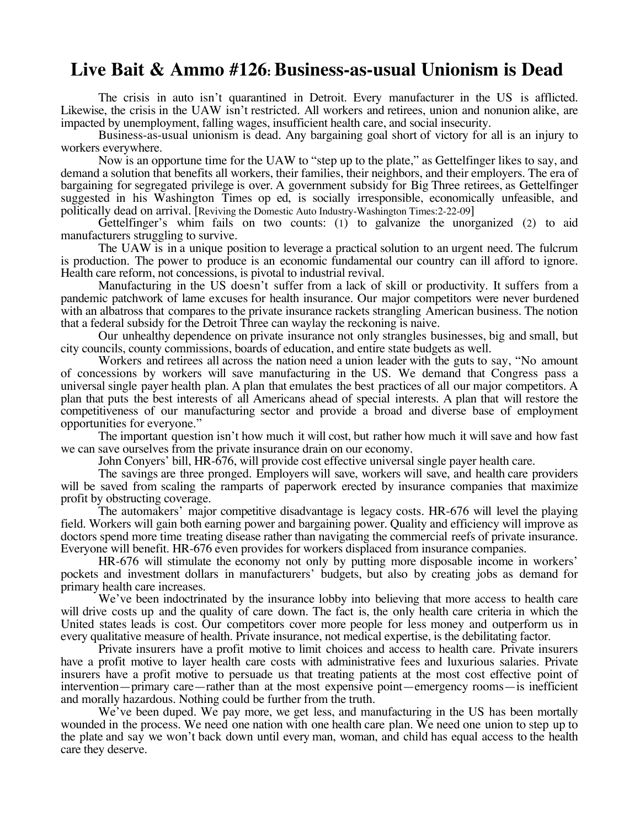## **Live Bait & Ammo #126: Business-as-usual Unionism is Dead**

The crisis in auto isn't quarantined in Detroit. Every manufacturer in the US is afflicted. Likewise, the crisis in the UAW isn't restricted. All workers and retirees, union and nonunion alike, are impacted by unemployment, falling wages, insufficient health care, and social insecurity.

Business-as-usual unionism is dead. Any bargaining goal short of victory for all is an injury to workers everywhere.

Now is an opportune time for the UAW to "step up to the plate," as Gettelfinger likes to say, and demand a solution that benefits all workers, their families, their neighbors, and their employers. The era of bargaining for segregated privilege is over. A government subsidy for Big Three retirees, as Gettelfinger suggested in his Washington Times op ed, is socially irresponsible, economically unfeasible, and politically dead on arrival. [Reviving the Domestic Auto Industry-Washington Times:2-22-09]

Gettelfinger's whim fails on two counts: (1) to galvanize the unorganized (2) to aid manufacturers struggling to survive.

The UAW is in a unique position to leverage a practical solution to an urgent need. The fulcrum is production. The power to produce is an economic fundamental our country can ill afford to ignore. Health care reform, not concessions, is pivotal to industrial revival.

Manufacturing in the US doesn't suffer from a lack of skill or productivity. It suffers from a pandemic patchwork of lame excuses for health insurance. Our major competitors were never burdened with an albatross that compares to the private insurance rackets strangling American business. The notion that a federal subsidy for the Detroit Three can waylay the reckoning is naive.

Our unhealthy dependence on private insurance not only strangles businesses, big and small, but city councils, county commissions, boards of education, and entire state budgets as well.

Workers and retirees all across the nation need a union leader with the guts to say, "No amount of concessions by workers will save manufacturing in the US. We demand that Congress pass a universal single payer health plan. A plan that emulates the best practices of all our major competitors. A plan that puts the best interests of all Americans ahead of special interests. A plan that will restore the competitiveness of our manufacturing sector and provide a broad and diverse base of employment opportunities for everyone."

The important question isn't how much it will cost, but rather how much it will save and how fast we can save ourselves from the private insurance drain on our economy.

John Conyers' bill, HR-676, will provide cost effective universal single payer health care.

The savings are three pronged. Employers will save, workers will save, and health care providers will be saved from scaling the ramparts of paperwork erected by insurance companies that maximize profit by obstructing coverage.

The automakers' major competitive disadvantage is legacy costs. HR-676 will level the playing field. Workers will gain both earning power and bargaining power. Quality and efficiency will improve as doctors spend more time treating disease rather than navigating the commercial reefs of private insurance. Everyone will benefit. HR-676 even provides for workers displaced from insurance companies.

HR-676 will stimulate the economy not only by putting more disposable income in workers' pockets and investment dollars in manufacturers' budgets, but also by creating jobs as demand for primary health care increases.

We've been indoctrinated by the insurance lobby into believing that more access to health care will drive costs up and the quality of care down. The fact is, the only health care criteria in which the United states leads is cost. Our competitors cover more people for less money and outperform us in every qualitative measure of health. Private insurance, not medical expertise, is the debilitating factor.

Private insurers have a profit motive to limit choices and access to health care. Private insurers have a profit motive to layer health care costs with administrative fees and luxurious salaries. Private insurers have a profit motive to persuade us that treating patients at the most cost effective point of intervention—primary care—rather than at the most expensive point—emergency rooms—is inefficient and morally hazardous. Nothing could be further from the truth.

We've been duped. We pay more, we get less, and manufacturing in the US has been mortally wounded in the process. We need one nation with one health care plan. We need one union to step up to the plate and say we won't back down until every man, woman, and child has equal access to the health care they deserve.